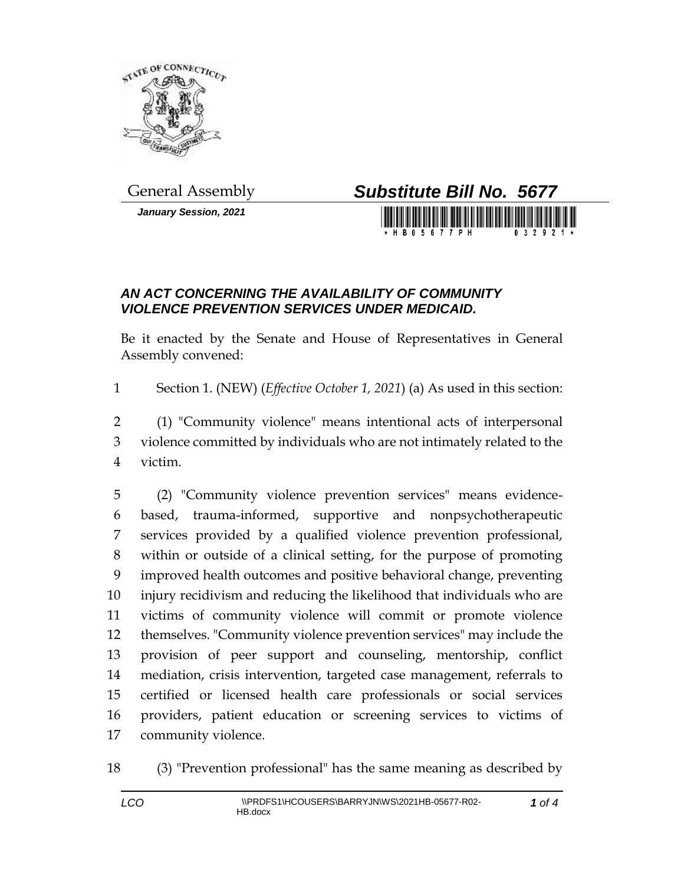

*January Session, 2021*

## General Assembly *Substitute Bill No. 5677*

**BO5677PH** 

## *AN ACT CONCERNING THE AVAILABILITY OF COMMUNITY VIOLENCE PREVENTION SERVICES UNDER MEDICAID.*

Be it enacted by the Senate and House of Representatives in General Assembly convened:

Section 1. (NEW) (*Effective October 1, 2021*) (a) As used in this section:

 (1) "Community violence" means intentional acts of interpersonal violence committed by individuals who are not intimately related to the victim.

 (2) "Community violence prevention services" means evidence- based, trauma-informed, supportive and nonpsychotherapeutic services provided by a qualified violence prevention professional, within or outside of a clinical setting, for the purpose of promoting improved health outcomes and positive behavioral change, preventing injury recidivism and reducing the likelihood that individuals who are victims of community violence will commit or promote violence themselves. "Community violence prevention services" may include the provision of peer support and counseling, mentorship, conflict mediation, crisis intervention, targeted case management, referrals to certified or licensed health care professionals or social services providers, patient education or screening services to victims of community violence.

(3) "Prevention professional" has the same meaning as described by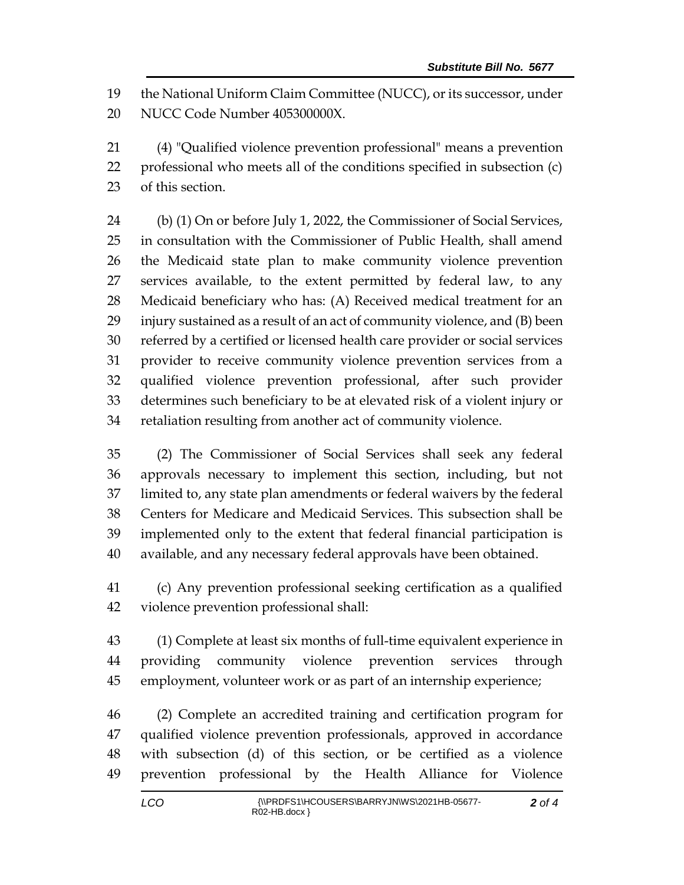the National Uniform Claim Committee (NUCC), or its successor, under NUCC Code Number 405300000X.

 (4) "Qualified violence prevention professional" means a prevention professional who meets all of the conditions specified in subsection (c) of this section.

 (b) (1) On or before July 1, 2022, the Commissioner of Social Services, in consultation with the Commissioner of Public Health, shall amend the Medicaid state plan to make community violence prevention services available, to the extent permitted by federal law, to any Medicaid beneficiary who has: (A) Received medical treatment for an injury sustained as a result of an act of community violence, and (B) been referred by a certified or licensed health care provider or social services provider to receive community violence prevention services from a qualified violence prevention professional, after such provider determines such beneficiary to be at elevated risk of a violent injury or retaliation resulting from another act of community violence.

 (2) The Commissioner of Social Services shall seek any federal approvals necessary to implement this section, including, but not limited to, any state plan amendments or federal waivers by the federal Centers for Medicare and Medicaid Services. This subsection shall be implemented only to the extent that federal financial participation is available, and any necessary federal approvals have been obtained.

 (c) Any prevention professional seeking certification as a qualified violence prevention professional shall:

 (1) Complete at least six months of full-time equivalent experience in providing community violence prevention services through employment, volunteer work or as part of an internship experience;

 (2) Complete an accredited training and certification program for qualified violence prevention professionals, approved in accordance with subsection (d) of this section, or be certified as a violence prevention professional by the Health Alliance for Violence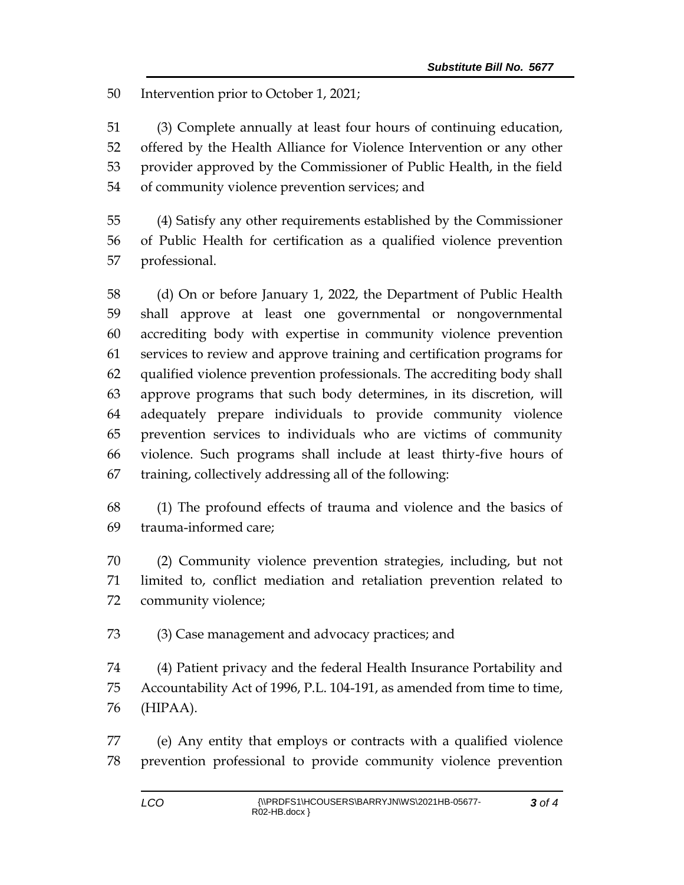Intervention prior to October 1, 2021;

 (3) Complete annually at least four hours of continuing education, offered by the Health Alliance for Violence Intervention or any other provider approved by the Commissioner of Public Health, in the field of community violence prevention services; and

 (4) Satisfy any other requirements established by the Commissioner of Public Health for certification as a qualified violence prevention professional.

 (d) On or before January 1, 2022, the Department of Public Health shall approve at least one governmental or nongovernmental accrediting body with expertise in community violence prevention services to review and approve training and certification programs for qualified violence prevention professionals. The accrediting body shall approve programs that such body determines, in its discretion, will adequately prepare individuals to provide community violence prevention services to individuals who are victims of community violence. Such programs shall include at least thirty-five hours of training, collectively addressing all of the following:

 (1) The profound effects of trauma and violence and the basics of trauma-informed care;

 (2) Community violence prevention strategies, including, but not limited to, conflict mediation and retaliation prevention related to community violence;

(3) Case management and advocacy practices; and

 (4) Patient privacy and the federal Health Insurance Portability and Accountability Act of 1996, P.L. 104-191, as amended from time to time, (HIPAA).

 (e) Any entity that employs or contracts with a qualified violence prevention professional to provide community violence prevention